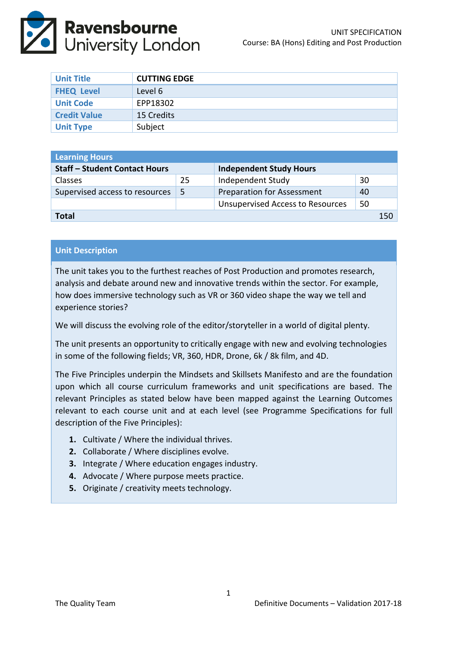

| <b>Unit Title</b>   | <b>CUTTING EDGE</b> |
|---------------------|---------------------|
| <b>FHEQ Level</b>   | Level 6             |
| <b>Unit Code</b>    | EPP18302            |
| <b>Credit Value</b> | 15 Credits          |
| <b>Unit Type</b>    | Subject             |

| <b>Learning Hours</b>                |    |                                         |    |     |  |  |
|--------------------------------------|----|-----------------------------------------|----|-----|--|--|
| <b>Staff - Student Contact Hours</b> |    | <b>Independent Study Hours</b>          |    |     |  |  |
| <b>Classes</b>                       | 25 | Independent Study                       | 30 |     |  |  |
| Supervised access to resources       | -5 | <b>Preparation for Assessment</b>       | 40 |     |  |  |
|                                      |    | <b>Unsupervised Access to Resources</b> | 50 |     |  |  |
| Total                                |    |                                         |    | 150 |  |  |

### **Unit Description**

The unit takes you to the furthest reaches of Post Production and promotes research, analysis and debate around new and innovative trends within the sector. For example, how does immersive technology such as VR or 360 video shape the way we tell and experience stories?

We will discuss the evolving role of the editor/storyteller in a world of digital plenty.

The unit presents an opportunity to critically engage with new and evolving technologies in some of the following fields; VR, 360, HDR, Drone, 6k / 8k film, and 4D.

The Five Principles underpin the Mindsets and Skillsets Manifesto and are the foundation upon which all course curriculum frameworks and unit specifications are based. The relevant Principles as stated below have been mapped against the Learning Outcomes relevant to each course unit and at each level (see Programme Specifications for full description of the Five Principles):

- **1.** Cultivate / Where the individual thrives.
- **2.** Collaborate / Where disciplines evolve.
- **3.** Integrate / Where education engages industry.
- **4.** Advocate / Where purpose meets practice.
- **5.** Originate / creativity meets technology.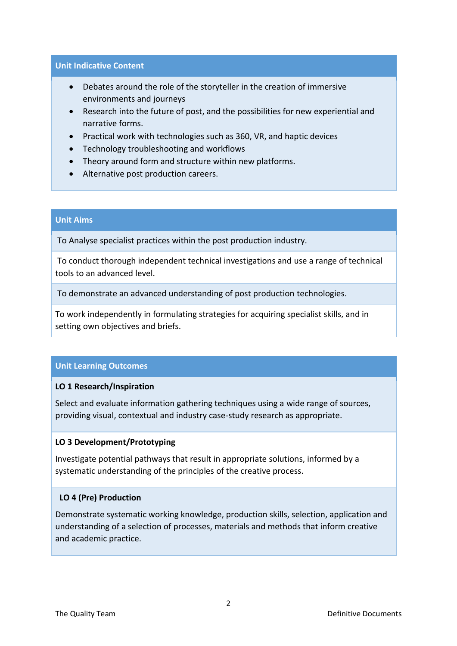#### **Unit Indicative Content**

- Debates around the role of the storyteller in the creation of immersive environments and journeys
- Research into the future of post, and the possibilities for new experiential and narrative forms.
- Practical work with technologies such as 360, VR, and haptic devices
- Technology troubleshooting and workflows
- Theory around form and structure within new platforms.
- Alternative post production careers.

#### **Unit Aims**

To Analyse specialist practices within the post production industry.

To conduct thorough independent technical investigations and use a range of technical tools to an advanced level.

To demonstrate an advanced understanding of post production technologies.

To work independently in formulating strategies for acquiring specialist skills, and in setting own objectives and briefs.

### **Unit Learning Outcomes**

### **LO 1 Research/Inspiration**

Select and evaluate information gathering techniques using a wide range of sources, providing visual, contextual and industry case-study research as appropriate.

### **LO 3 Development/Prototyping**

Investigate potential pathways that result in appropriate solutions, informed by a systematic understanding of the principles of the creative process.

### **LO 4 (Pre) Production**

Demonstrate systematic working knowledge, production skills, selection, application and understanding of a selection of processes, materials and methods that inform creative and academic practice.